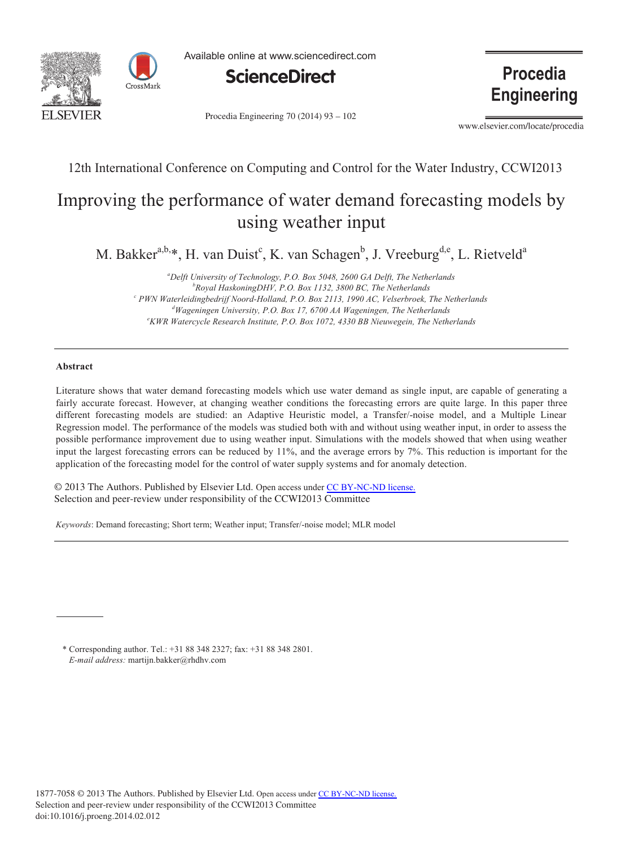



Available online at www.sciencedirect.com



Procedia Engineering  $70(2014)$   $93 - 102$ 

**Procedia Engineering** 

www.elsevier.com/locate/procedia

# 12th International Conference on Computing and Control for the Water Industry, CCWI2013

# Improving the performance of water demand forecasting models by using weather input

M. Bakker<sup>a,b,\*</sup>, H. van Duist<sup>c</sup>, K. van Schagen<sup>b</sup>, J. Vreeburg<sup>d,e</sup>, L. Rietveld<sup>a</sup>

<sup>a</sup> Delft University of Technology, P.O. Box 5048, 2600 GA Delft, The Netherlands *b* Poval Haskoping DHV, P.O. Box 1132, 3800 BC. The Netherlands *Royal HaskoningDHV, P.O. Box 1132, 3800 BC, The Netherlands c* <sup>c</sup> PWN Waterleidingbedrijf Noord-Holland, P.O. Box 2113, 1990 AC, Velserbroek, The Netherlands <sup>d</sup> Wageningen University, P.O. Box 17, 6700 AA Wageningen, The Netherlands *KWR Watercycle Research Institute, P.O. Box 1072, 4330 BB Nieuwegein, The Netherlands* 

# **Abstract**

Literature shows that water demand forecasting models which use water demand as single input, are capable of generating a fairly accurate forecast. However, at changing weather conditions the forecasting errors are quite large. In this paper three different forecasting models are studied: an Adaptive Heuristic model, a Transfer/-noise model, and a Multiple Linear Regression model. The performance of the models was studied both with and without using weather input, in order to assess the possible performance improvement due to using weather input. Simulations with the models showed that when using weather input the largest forecasting errors can be reduced by 11%, and the average errors by 7%. This reduction is important for the application of the forecasting model for the control of water supply systems and for anomaly detection.

© 2013 The Authors. Published by Elsevier Ltd. © 2013 The Authors. Published by Elsevier Ltd. Open access under [CC BY-NC-ND license.](http://creativecommons.org/licenses/by-nc-nd/3.0/) Selection and peer-review under responsibility of the CCWI2013 Committee

*Keywords*: Demand forecasting; Short term; Weather input; Transfer/-noise model; MLR model

\* Corresponding author. Tel.: +31 88 348 2327; fax: +31 88 348 2801. *E-mail address:* martijn.bakker@rhdhv.com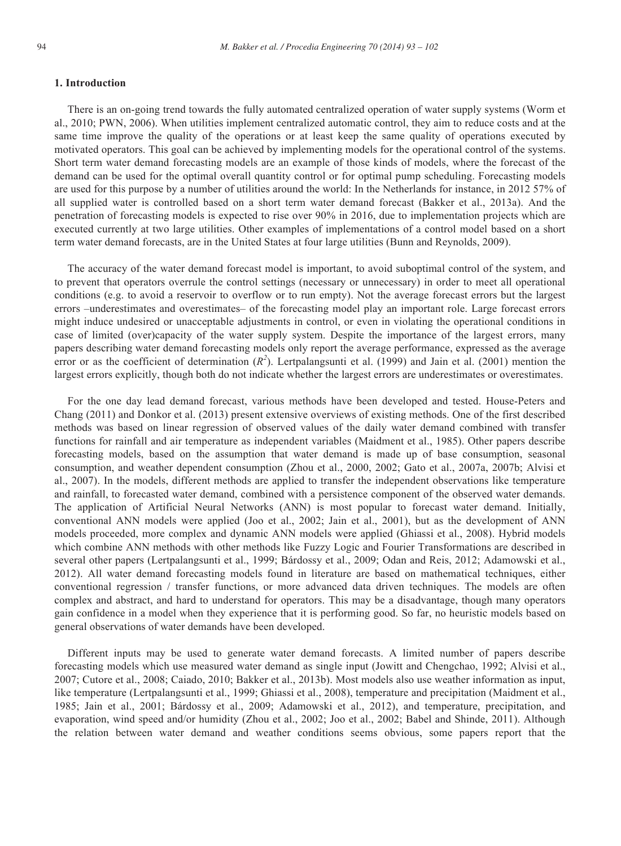# **1. Introduction**

There is an on-going trend towards the fully automated centralized operation of water supply systems (Worm et al., 2010; PWN, 2006). When utilities implement centralized automatic control, they aim to reduce costs and at the same time improve the quality of the operations or at least keep the same quality of operations executed by motivated operators. This goal can be achieved by implementing models for the operational control of the systems. Short term water demand forecasting models are an example of those kinds of models, where the forecast of the demand can be used for the optimal overall quantity control or for optimal pump scheduling. Forecasting models are used for this purpose by a number of utilities around the world: In the Netherlands for instance, in 2012 57% of all supplied water is controlled based on a short term water demand forecast (Bakker et al., 2013a). And the penetration of forecasting models is expected to rise over 90% in 2016, due to implementation projects which are executed currently at two large utilities. Other examples of implementations of a control model based on a short term water demand forecasts, are in the United States at four large utilities (Bunn and Reynolds, 2009).

The accuracy of the water demand forecast model is important, to avoid suboptimal control of the system, and to prevent that operators overrule the control settings (necessary or unnecessary) in order to meet all operational conditions (e.g. to avoid a reservoir to overflow or to run empty). Not the average forecast errors but the largest errors –underestimates and overestimates– of the forecasting model play an important role. Large forecast errors might induce undesired or unacceptable adjustments in control, or even in violating the operational conditions in case of limited (over)capacity of the water supply system. Despite the importance of the largest errors, many papers describing water demand forecasting models only report the average performance, expressed as the average error or as the coefficient of determination  $(R^2)$ . Lertpalangsunti et al. (1999) and Jain et al. (2001) mention the largest errors explicitly, though both do not indicate whether the largest errors are underestimates or overestimates.

For the one day lead demand forecast, various methods have been developed and tested. House-Peters and Chang (2011) and Donkor et al. (2013) present extensive overviews of existing methods. One of the first described methods was based on linear regression of observed values of the daily water demand combined with transfer functions for rainfall and air temperature as independent variables (Maidment et al., 1985). Other papers describe forecasting models, based on the assumption that water demand is made up of base consumption, seasonal consumption, and weather dependent consumption (Zhou et al., 2000, 2002; Gato et al., 2007a, 2007b; Alvisi et al., 2007). In the models, different methods are applied to transfer the independent observations like temperature and rainfall, to forecasted water demand, combined with a persistence component of the observed water demands. The application of Artificial Neural Networks (ANN) is most popular to forecast water demand. Initially, conventional ANN models were applied (Joo et al., 2002; Jain et al., 2001), but as the development of ANN models proceeded, more complex and dynamic ANN models were applied (Ghiassi et al., 2008). Hybrid models which combine ANN methods with other methods like Fuzzy Logic and Fourier Transformations are described in several other papers (Lertpalangsunti et al., 1999; Bárdossy et al., 2009; Odan and Reis, 2012; Adamowski et al., 2012). All water demand forecasting models found in literature are based on mathematical techniques, either conventional regression / transfer functions, or more advanced data driven techniques. The models are often complex and abstract, and hard to understand for operators. This may be a disadvantage, though many operators gain confidence in a model when they experience that it is performing good. So far, no heuristic models based on general observations of water demands have been developed.

Different inputs may be used to generate water demand forecasts. A limited number of papers describe forecasting models which use measured water demand as single input (Jowitt and Chengchao, 1992; Alvisi et al., 2007; Cutore et al., 2008; Caiado, 2010; Bakker et al., 2013b). Most models also use weather information as input, like temperature (Lertpalangsunti et al., 1999; Ghiassi et al., 2008), temperature and precipitation (Maidment et al., 1985; Jain et al., 2001; Bárdossy et al., 2009; Adamowski et al., 2012), and temperature, precipitation, and evaporation, wind speed and/or humidity (Zhou et al., 2002; Joo et al., 2002; Babel and Shinde, 2011). Although the relation between water demand and weather conditions seems obvious, some papers report that the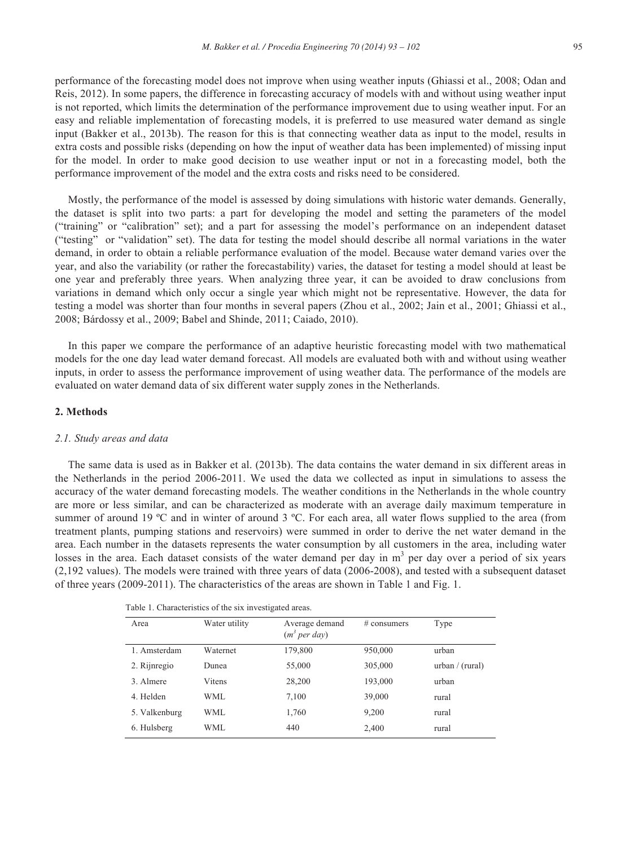performance of the forecasting model does not improve when using weather inputs (Ghiassi et al., 2008; Odan and Reis, 2012). In some papers, the difference in forecasting accuracy of models with and without using weather input is not reported, which limits the determination of the performance improvement due to using weather input. For an easy and reliable implementation of forecasting models, it is preferred to use measured water demand as single input (Bakker et al., 2013b). The reason for this is that connecting weather data as input to the model, results in extra costs and possible risks (depending on how the input of weather data has been implemented) of missing input for the model. In order to make good decision to use weather input or not in a forecasting model, both the performance improvement of the model and the extra costs and risks need to be considered.

Mostly, the performance of the model is assessed by doing simulations with historic water demands. Generally, the dataset is split into two parts: a part for developing the model and setting the parameters of the model ("training" or "calibration" set); and a part for assessing the model's performance on an independent dataset ("testing" or "validation" set). The data for testing the model should describe all normal variations in the water demand, in order to obtain a reliable performance evaluation of the model. Because water demand varies over the year, and also the variability (or rather the forecastability) varies, the dataset for testing a model should at least be one year and preferably three years. When analyzing three year, it can be avoided to draw conclusions from variations in demand which only occur a single year which might not be representative. However, the data for testing a model was shorter than four months in several papers (Zhou et al., 2002; Jain et al., 2001; Ghiassi et al., 2008; Bárdossy et al., 2009; Babel and Shinde, 2011; Caiado, 2010).

In this paper we compare the performance of an adaptive heuristic forecasting model with two mathematical models for the one day lead water demand forecast. All models are evaluated both with and without using weather inputs, in order to assess the performance improvement of using weather data. The performance of the models are evaluated on water demand data of six different water supply zones in the Netherlands.

# **2. Methods**

#### *2.1. Study areas and data*

The same data is used as in Bakker et al. (2013b). The data contains the water demand in six different areas in the Netherlands in the period 2006-2011. We used the data we collected as input in simulations to assess the accuracy of the water demand forecasting models. The weather conditions in the Netherlands in the whole country are more or less similar, and can be characterized as moderate with an average daily maximum temperature in summer of around 19 °C and in winter of around 3 °C. For each area, all water flows supplied to the area (from treatment plants, pumping stations and reservoirs) were summed in order to derive the net water demand in the area. Each number in the datasets represents the water consumption by all customers in the area, including water losses in the area. Each dataset consists of the water demand per day in  $m<sup>3</sup>$  per day over a period of six years (2,192 values). The models were trained with three years of data (2006-2008), and tested with a subsequent dataset of three years (2009-2011). The characteristics of the areas are shown in Table 1 and Fig. 1.

|  | Table 1. Characteristics of the six investigated areas. |  |  |  |
|--|---------------------------------------------------------|--|--|--|
|--|---------------------------------------------------------|--|--|--|

| Area          | Water utility | Average demand<br>$(m^3 per day)$ | $# \text{ consumers}$ | Type            |
|---------------|---------------|-----------------------------------|-----------------------|-----------------|
| 1. Amsterdam  | Waternet      | 179,800                           | 950,000               | urban           |
| 2. Rijnregio  | Dunea         | 55,000                            | 305,000               | urban / (rural) |
| 3. Almere     | Vitens        | 28,200                            | 193,000               | urban           |
| 4. Helden     | WML.          | 7,100                             | 39,000                | rural           |
| 5. Valkenburg | WML.          | 1,760                             | 9,200                 | rural           |
| 6. Hulsberg   | WML.          | 440                               | 2,400                 | rural           |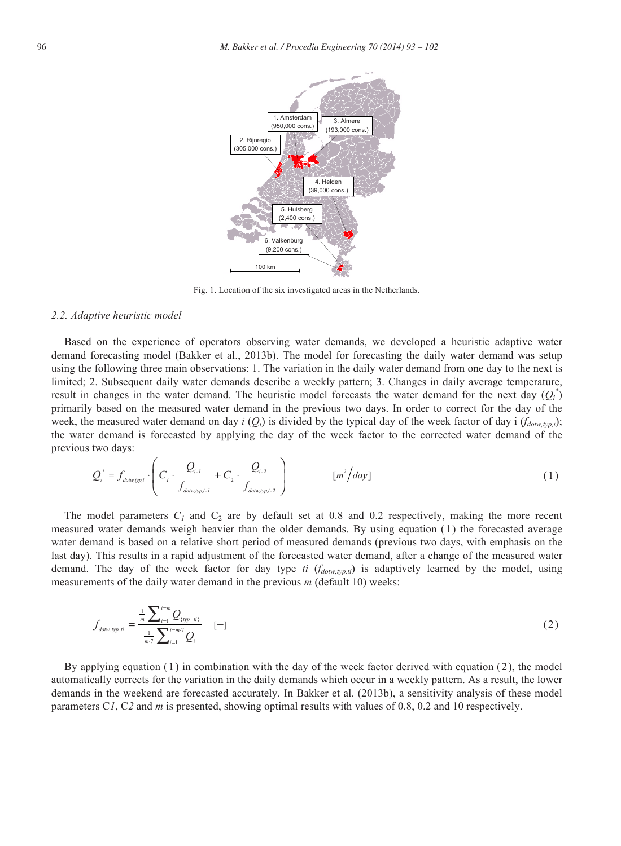

Fig. 1. Location of the six investigated areas in the Netherlands.

#### *2.2. Adaptive heuristic model*

Based on the experience of operators observing water demands, we developed a heuristic adaptive water demand forecasting model (Bakker et al., 2013b). The model for forecasting the daily water demand was setup using the following three main observations: 1. The variation in the daily water demand from one day to the next is limited; 2. Subsequent daily water demands describe a weekly pattern; 3. Changes in daily average temperature, result in changes in the water demand. The heuristic model forecasts the water demand for the next day  $(Q_i^*)$ primarily based on the measured water demand in the previous two days. In order to correct for the day of the week, the measured water demand on day  $i$  ( $Q_i$ ) is divided by the typical day of the week factor of day i  $(f_{dotw, typ,i})$ ; the water demand is forecasted by applying the day of the week factor to the corrected water demand of the previous two days:

$$
Q_i^* = f_{\text{down,pp,i}} \cdot \left( C_i \cdot \frac{Q_{i\text{-}1}}{f_{\text{down,pp,i-}1}} + C_2 \cdot \frac{Q_{i\text{-}2}}{f_{\text{down,pp,i-}2}} \right) \qquad [m^3 / day] \qquad (1)
$$

The model parameters  $C_1$  and  $C_2$  are by default set at 0.8 and 0.2 respectively, making the more recent measured water demands weigh heavier than the older demands. By using equation (1) the forecasted average water demand is based on a relative short period of measured demands (previous two days, with emphasis on the last day). This results in a rapid adjustment of the forecasted water demand, after a change of the measured water demand. The day of the week factor for day type *ti* ( $f_{dofw, typ,ti}$ ) is adaptively learned by the model, using measurements of the daily water demand in the previous *m* (default 10) weeks:

$$
f_{\text{down,typ,ii}} = \frac{\frac{1}{m} \sum_{i=1}^{i=m} Q_{\text{top}=ii}}{\frac{1}{m \cdot 7} \sum_{i=1}^{i=m \cdot 7} Q_i} \quad [-1 \tag{2}
$$

By applying equation (1) in combination with the day of the week factor derived with equation (2), the model automatically corrects for the variation in the daily demands which occur in a weekly pattern. As a result, the lower demands in the weekend are forecasted accurately. In Bakker et al. (2013b), a sensitivity analysis of these model parameters C*1*, C*2* and *m* is presented, showing optimal results with values of 0.8, 0.2 and 10 respectively.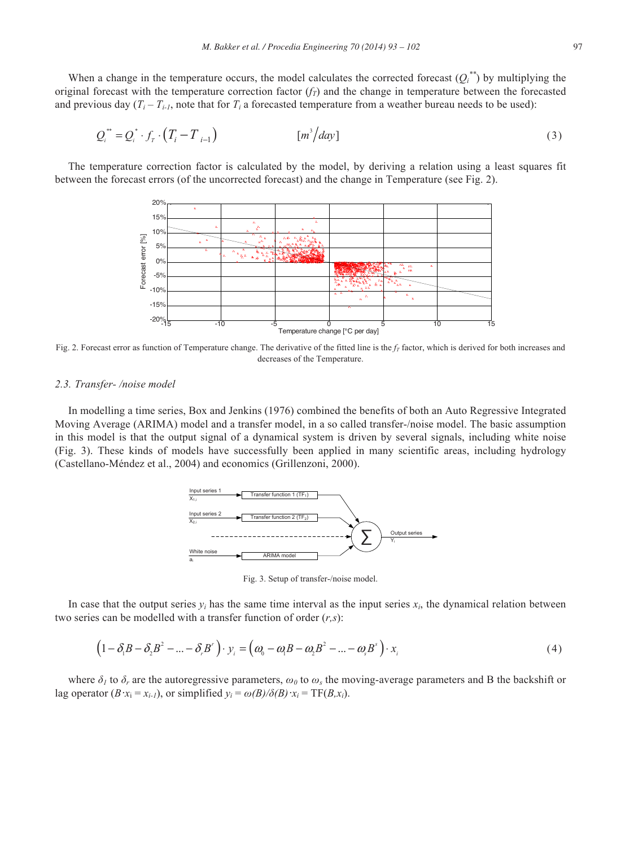When a change in the temperature occurs, the model calculates the corrected forecast  $(Q_i^{**})$  by multiplying the original forecast with the temperature correction factor  $(f_T)$  and the change in temperature between the forecasted and previous day  $(T_i - T_{i-1})$ , note that for  $T_i$  a forecasted temperature from a weather bureau needs to be used):

$$
Q_i^* = Q_i^* \cdot f_r \cdot (T_i - T_{i-1}) \qquad [m^3 / day] \tag{3}
$$

The temperature correction factor is calculated by the model, by deriving a relation using a least squares fit between the forecast errors (of the uncorrected forecast) and the change in Temperature (see Fig. 2).



Fig. 2. Forecast error as function of Temperature change. The derivative of the fitted line is the  $f<sub>T</sub>$  factor, which is derived for both increases and decreases of the Temperature.

#### *2.3. Transfer- /noise model*

In modelling a time series, Box and Jenkins (1976) combined the benefits of both an Auto Regressive Integrated Moving Average (ARIMA) model and a transfer model, in a so called transfer-/noise model. The basic assumption in this model is that the output signal of a dynamical system is driven by several signals, including white noise (Fig. 3). These kinds of models have successfully been applied in many scientific areas, including hydrology (Castellano-Méndez et al., 2004) and economics (Grillenzoni, 2000).



Fig. 3. Setup of transfer-/noise model.

In case that the output series  $y_i$  has the same time interval as the input series  $x_i$ , the dynamical relation between two series can be modelled with a transfer function of order (*r,s*):

$$
\left(1-\delta_1 B-\delta_2 B^2-\dots-\delta_r B^r\right)\cdot y_i=\left(\omega_0-\omega_1 B-\omega_2 B^2-\dots-\omega_s B^s\right)\cdot x_i\tag{4}
$$

where  $\delta_l$  to  $\delta_r$  are the autoregressive parameters,  $\omega_0$  to  $\omega_s$  the moving-average parameters and B the backshift or lag operator  $(B \cdot x_i = x_{i-1})$ , or simplified  $y_i = \omega(B)/\delta(B) \cdot x_i = \text{TF}(B,x_i)$ .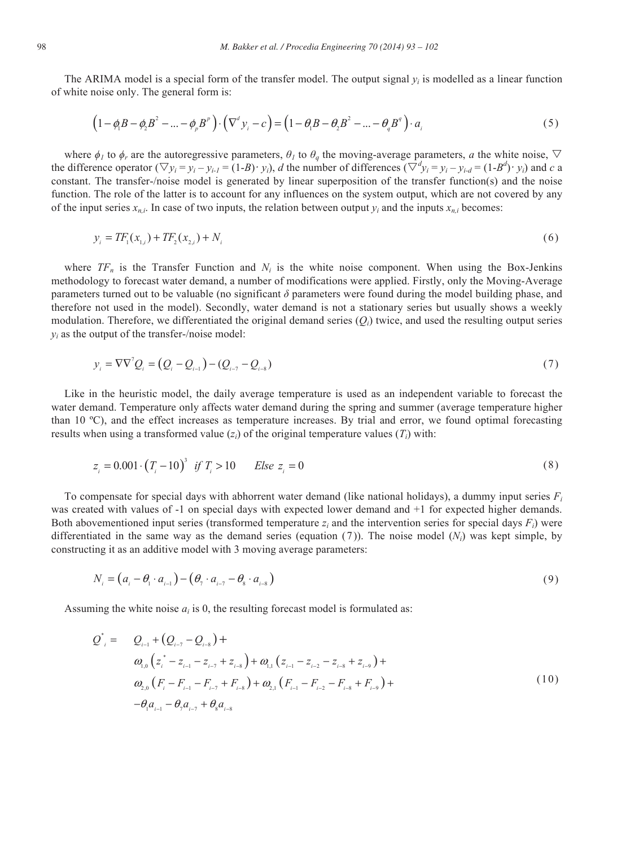The ARIMA model is a special form of the transfer model. The output signal  $y_i$  is modelled as a linear function of white noise only. The general form is:

$$
(1 - \phi_1 B - \phi_2 B^2 - \dots - \phi_p B^p) \cdot (\nabla^d y_i - c) = (1 - \theta_1 B - \theta_2 B^2 - \dots - \theta_q B^q) \cdot a_i
$$
 (5)

where  $\phi_I$  to  $\phi_r$  are the autoregressive parameters,  $\theta_I$  to  $\theta_q$  the moving-average parameters, *a* the white noise,  $\nabla$ the difference operator  $(\nabla y_i = y_i - y_{i-1} = (1-B) \cdot y_i)$ , *d* the number of differences  $(\nabla^d y_i = y_i - y_{i-d} = (1-B^d) \cdot y_i)$  and *c* a constant. The transfer-/noise model is generated by linear superposition of the transfer function(s) and the noise function. The role of the latter is to account for any influences on the system output, which are not covered by any of the input series  $x_{n,i}$ . In case of two inputs, the relation between output  $y_i$  and the inputs  $x_{n,i}$  becomes:

$$
y_i = TF_1(x_{1,i}) + TF_2(x_{2,i}) + N_i
$$
\n(6)

where  $TF_n$  is the Transfer Function and  $N_i$  is the white noise component. When using the Box-Jenkins methodology to forecast water demand, a number of modifications were applied. Firstly, only the Moving-Average parameters turned out to be valuable (no significant *δ* parameters were found during the model building phase, and therefore not used in the model). Secondly, water demand is not a stationary series but usually shows a weekly modulation. Therefore, we differentiated the original demand series (*Qi*) twice, and used the resulting output series  $y_i$  as the output of the transfer-/noise model:

$$
y_i = \nabla \nabla^2 Q_i = (Q_i - Q_{i-1}) - (Q_{i-7} - Q_{i-8})
$$
\n(7)

Like in the heuristic model, the daily average temperature is used as an independent variable to forecast the water demand. Temperature only affects water demand during the spring and summer (average temperature higher than 10 ºC), and the effect increases as temperature increases. By trial and error, we found optimal forecasting results when using a transformed value  $(z<sub>i</sub>)$  of the original temperature values  $(T<sub>i</sub>)$  with:

$$
z_i = 0.001 \cdot (T_i - 10)^3 \text{ if } T_i > 10 \qquad \text{Else } z_i = 0 \tag{8}
$$

To compensate for special days with abhorrent water demand (like national holidays), a dummy input series  $F_i$ was created with values of -1 on special days with expected lower demand and +1 for expected higher demands. Both abovementioned input series (transformed temperature  $z_i$  and the intervention series for special days  $F_i$ ) were differentiated in the same way as the demand series (equation (7)). The noise model (*Ni*) was kept simple, by constructing it as an additive model with 3 moving average parameters:

$$
N_i = \left(a_i - \theta_i \cdot a_{i-1}\right) - \left(\theta_i \cdot a_{i-7} - \theta_s \cdot a_{i-8}\right) \tag{9}
$$

Assuming the white noise  $a_i$  is 0, the resulting forecast model is formulated as:

$$
Q_{i}^{*} = Q_{i-1} + (Q_{i-7} - Q_{i-8}) +
$$
\n
$$
\omega_{1,0} \left( z_{i}^{*} - z_{i-1} - z_{i-7} + z_{i-8} \right) + \omega_{1,1} \left( z_{i-1} - z_{i-2} - z_{i-8} + z_{i-9} \right) +
$$
\n
$$
\omega_{2,0} \left( F_{i} - F_{i-1} - F_{i-7} + F_{i-8} \right) + \omega_{2,1} \left( F_{i-1} - F_{i-2} - F_{i-8} + F_{i-9} \right) +
$$
\n
$$
-\theta_{1} a_{i-1} - \theta_{2} a_{i-7} + \theta_{8} a_{i-8}
$$
\n(10)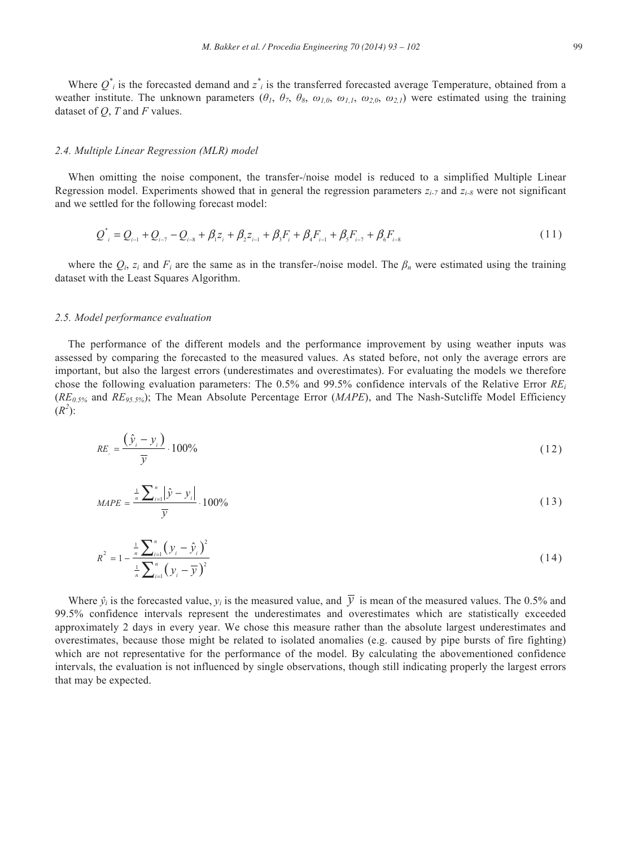Where  $Q^*$  is the forecasted demand and  $z^*$  is the transferred forecasted average Temperature, obtained from a weather institute. The unknown parameters  $(\theta_1, \theta_7, \theta_8, \omega_{1,0}, \omega_{1,1}, \omega_{2,0}, \omega_{2,1})$  were estimated using the training dataset of *Q*, *T* and *F* values.

#### *2.4. Multiple Linear Regression (MLR) model*

When omitting the noise component, the transfer-/noise model is reduced to a simplified Multiple Linear Regression model. Experiments showed that in general the regression parameters  $z_{i-7}$  and  $z_{i-8}$  were not significant and we settled for the following forecast model:

$$
Q_{i}^{*} = Q_{i-1} + Q_{i-7} - Q_{i-8} + \beta_{1}Z_{i} + \beta_{2}Z_{i-1} + \beta_{3}F_{i} + \beta_{4}F_{i-1} + \beta_{5}F_{i-7} + \beta_{6}F_{i-8}
$$
\n(11)

where the  $Q_i$ ,  $z_i$  and  $F_i$  are the same as in the transfer-/noise model. The  $\beta_n$  were estimated using the training dataset with the Least Squares Algorithm.

#### *2.5. Model performance evaluation*

The performance of the different models and the performance improvement by using weather inputs was assessed by comparing the forecasted to the measured values. As stated before, not only the average errors are important, but also the largest errors (underestimates and overestimates). For evaluating the models we therefore chose the following evaluation parameters: The 0.5% and 99.5% confidence intervals of the Relative Error *REi* (*RE0.5%* and *RE95.5%*); The Mean Absolute Percentage Error (*MAPE*), and The Nash-Sutcliffe Model Efficiency  $(R^2)$ :

$$
RE_{i} = \frac{(\hat{y}_{i} - y_{i})}{\overline{y}} \cdot 100\%
$$
 (12)

$$
MAPE = \frac{\frac{1}{n} \sum_{i=1}^{n} |\hat{y} - y_i|}{\overline{y}} \cdot 100\%
$$
 (13)

$$
R^{2} = 1 - \frac{\frac{1}{n} \sum_{i=1}^{n} (y_{i} - \hat{y}_{i})^{2}}{\frac{1}{n} \sum_{i=1}^{n} (y_{i} - \overline{y})^{2}}
$$
(14)

Where  $\hat{y}_i$  is the forecasted value,  $y_i$  is the measured value, and  $\overline{y}$  is mean of the measured values. The 0.5% and 99.5% confidence intervals represent the underestimates and overestimates which are statistically exceeded approximately 2 days in every year. We chose this measure rather than the absolute largest underestimates and overestimates, because those might be related to isolated anomalies (e.g. caused by pipe bursts of fire fighting) which are not representative for the performance of the model. By calculating the abovementioned confidence intervals, the evaluation is not influenced by single observations, though still indicating properly the largest errors that may be expected.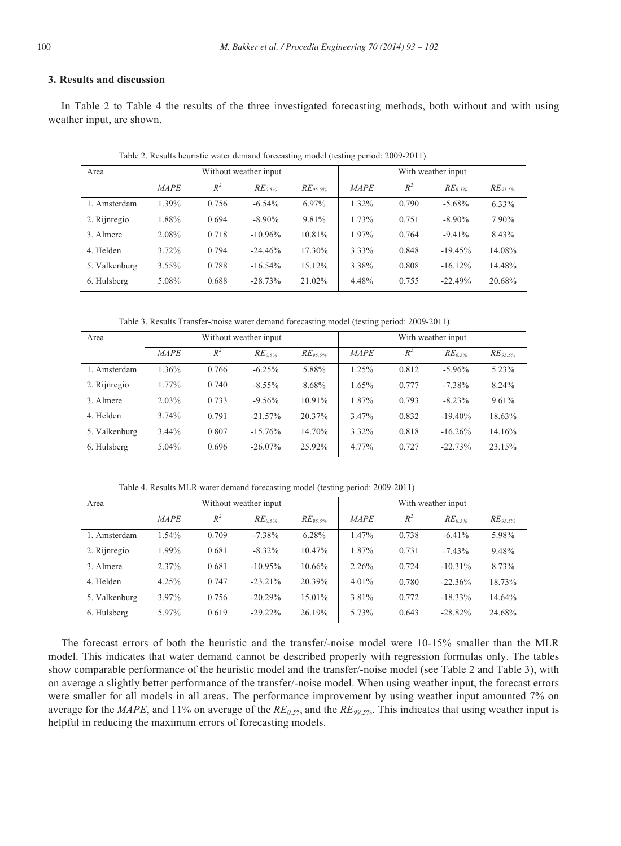# **3. Results and discussion**

In Table 2 to Table 4 the results of the three investigated forecasting methods, both without and with using weather input, are shown.

| Area          | Without weather input |       |            |               | With weather input |       |           |               |
|---------------|-----------------------|-------|------------|---------------|--------------------|-------|-----------|---------------|
|               | <b>MAPE</b>           | $R^2$ | $RE0.5%$   | $RE_{95.5\%}$ | <b>MAPE</b>        | $R^2$ | $RE0.5%$  | $RE_{95,5\%}$ |
| 1. Amsterdam  | 1.39%                 | 0.756 | $-6.54\%$  | 6.97%         | 1.32%              | 0.790 | $-5.68\%$ | 6.33%         |
| 2. Rijnregio  | 1.88%                 | 0.694 | $-8.90\%$  | 9.81%         | 1.73%              | 0.751 | $-8.90\%$ | 7.90%         |
| 3. Almere     | 2.08%                 | 0.718 | $-10.96\%$ | 10.81%        | 1.97%              | 0.764 | $-9.41\%$ | 8.43%         |
| 4. Helden     | 3.72%                 | 0.794 | $-24.46%$  | 17.30%        | 3.33%              | 0.848 | $-19.45%$ | 14.08%        |
| 5. Valkenburg | $3.55\%$              | 0.788 | $-16.54\%$ | 15.12%        | 3.38%              | 0.808 | $-16.12%$ | 14.48%        |
| 6. Hulsberg   | 5.08%                 | 0.688 | $-28.73%$  | 21.02%        | 4.48%              | 0.755 | $-22.49%$ | 20.68%        |

Table 2. Results heuristic water demand forecasting model (testing period: 2009-2011).

Table 3. Results Transfer-/noise water demand forecasting model (testing period: 2009-2011).

| Area          | Without weather input |       |            |               | With weather input |       |              |               |
|---------------|-----------------------|-------|------------|---------------|--------------------|-------|--------------|---------------|
|               | <b>MAPE</b>           | $R^2$ | $RE0.5%$   | $RE_{95,5\%}$ | <b>MAPE</b>        | $R^2$ | $RE_{0.5\%}$ | $RE_{95,5\%}$ |
| 1. Amsterdam  | 1.36%                 | 0.766 | $-6.25%$   | 5.88%         | 1.25%              | 0.812 | $-5.96\%$    | 5.23%         |
| 2. Rijnregio  | $1.77\%$              | 0.740 | $-8.55\%$  | 8.68%         | 1.65%              | 0.777 | $-7.38\%$    | 8.24%         |
| 3. Almere     | 2.03%                 | 0.733 | $-9.56%$   | 10.91%        | 1.87%              | 0.793 | $-8.23\%$    | 9.61%         |
| 4. Helden     | 3.74%                 | 0.791 | $-21.57\%$ | 20.37%        | 3.47%              | 0.832 | $-19.40\%$   | 18.63%        |
| 5. Valkenburg | 3.44%                 | 0.807 | $-15.76%$  | 14.70%        | 3.32%              | 0.818 | $-16.26%$    | 14.16%        |
| 6. Hulsberg   | $5.04\%$              | 0.696 | $-26.07\%$ | 25.92%        | 4.77%              | 0.727 | $-22.73%$    | 23.15%        |

Table 4. Results MLR water demand forecasting model (testing period: 2009-2011).

| Area          | Without weather input |       |            |               | With weather input |       |            |               |
|---------------|-----------------------|-------|------------|---------------|--------------------|-------|------------|---------------|
|               | <b>MAPE</b>           | $R^2$ | $RE0.5%$   | $RE_{95,5\%}$ | <b>MAPE</b>        | $R^2$ | $RE0.5%$   | $RE_{95.5\%}$ |
| 1. Amsterdam  | 1.54%                 | 0.709 | $-7.38\%$  | 6.28%         | 1.47%              | 0.738 | $-6.41\%$  | 5.98%         |
| 2. Rijnregio  | 1.99%                 | 0.681 | $-8.32\%$  | $10.47\%$     | 1.87%              | 0.731 | $-7.43%$   | 9.48%         |
| 3. Almere     | $2.37\%$              | 0.681 | $-10.95%$  | 10.66%        | 2.26%              | 0.724 | $-10.31\%$ | 8.73%         |
| 4. Helden     | 4.25%                 | 0.747 | $-23.21\%$ | 20.39%        | $4.01\%$           | 0.780 | $-22.36%$  | 18.73%        |
| 5. Valkenburg | 3.97%                 | 0.756 | $-20.29%$  | 15.01%        | 3.81%              | 0.772 | $-18.33\%$ | 14.64%        |
| 6. Hulsberg   | 5.97%                 | 0.619 | $-29.22\%$ | 26.19%        | 5.73%              | 0.643 | $-28.82%$  | 24.68%        |

The forecast errors of both the heuristic and the transfer/-noise model were 10-15% smaller than the MLR model. This indicates that water demand cannot be described properly with regression formulas only. The tables show comparable performance of the heuristic model and the transfer/-noise model (see Table 2 and Table 3), with on average a slightly better performance of the transfer/-noise model. When using weather input, the forecast errors were smaller for all models in all areas. The performance improvement by using weather input amounted 7% on average for the *MAPE*, and 11% on average of the *RE0.5%* and the *RE99.5%*. This indicates that using weather input is helpful in reducing the maximum errors of forecasting models.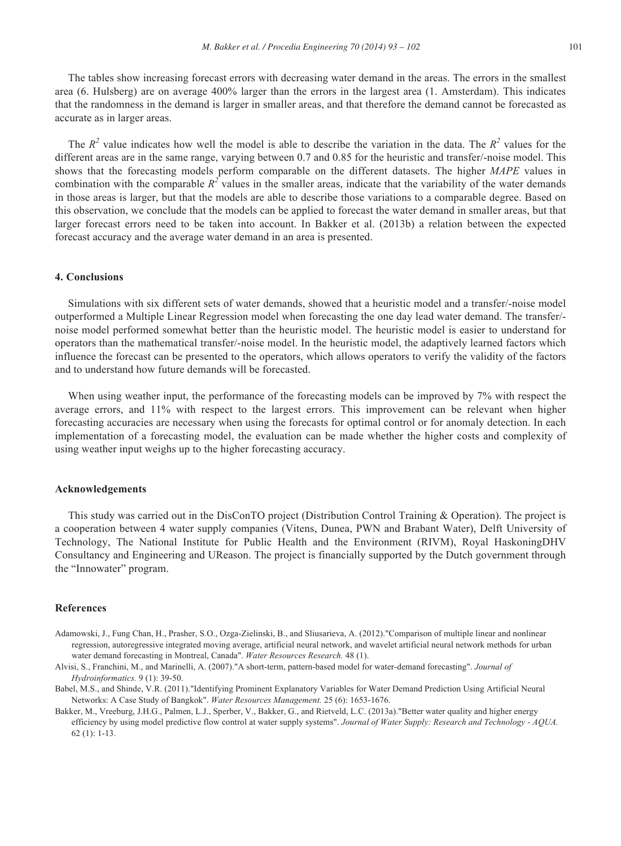The tables show increasing forecast errors with decreasing water demand in the areas. The errors in the smallest area (6. Hulsberg) are on average 400% larger than the errors in the largest area (1. Amsterdam). This indicates that the randomness in the demand is larger in smaller areas, and that therefore the demand cannot be forecasted as accurate as in larger areas.

The  $R^2$  value indicates how well the model is able to describe the variation in the data. The  $R^2$  values for the different areas are in the same range, varying between 0.7 and 0.85 for the heuristic and transfer/-noise model. This shows that the forecasting models perform comparable on the different datasets. The higher *MAPE* values in combination with the comparable  $R^2$  values in the smaller areas, indicate that the variability of the water demands in those areas is larger, but that the models are able to describe those variations to a comparable degree. Based on this observation, we conclude that the models can be applied to forecast the water demand in smaller areas, but that larger forecast errors need to be taken into account. In Bakker et al. (2013b) a relation between the expected forecast accuracy and the average water demand in an area is presented.

### **4. Conclusions**

Simulations with six different sets of water demands, showed that a heuristic model and a transfer/-noise model outperformed a Multiple Linear Regression model when forecasting the one day lead water demand. The transfer/ noise model performed somewhat better than the heuristic model. The heuristic model is easier to understand for operators than the mathematical transfer/-noise model. In the heuristic model, the adaptively learned factors which influence the forecast can be presented to the operators, which allows operators to verify the validity of the factors and to understand how future demands will be forecasted.

When using weather input, the performance of the forecasting models can be improved by 7% with respect the average errors, and 11% with respect to the largest errors. This improvement can be relevant when higher forecasting accuracies are necessary when using the forecasts for optimal control or for anomaly detection. In each implementation of a forecasting model, the evaluation can be made whether the higher costs and complexity of using weather input weighs up to the higher forecasting accuracy.

#### **Acknowledgements**

This study was carried out in the DisConTO project (Distribution Control Training & Operation). The project is a cooperation between 4 water supply companies (Vitens, Dunea, PWN and Brabant Water), Delft University of Technology, The National Institute for Public Health and the Environment (RIVM), Royal HaskoningDHV Consultancy and Engineering and UReason. The project is financially supported by the Dutch government through the "Innowater" program.

#### **References**

- Adamowski, J., Fung Chan, H., Prasher, S.O., Ozga-Zielinski, B., and Sliusarieva, A. (2012)."Comparison of multiple linear and nonlinear regression, autoregressive integrated moving average, artificial neural network, and wavelet artificial neural network methods for urban water demand forecasting in Montreal, Canada". *Water Resources Research.* 48 (1).
- Alvisi, S., Franchini, M., and Marinelli, A. (2007)."A short-term, pattern-based model for water-demand forecasting". *Journal of Hydroinformatics.* 9 (1): 39-50.
- Babel, M.S., and Shinde, V.R. (2011)."Identifying Prominent Explanatory Variables for Water Demand Prediction Using Artificial Neural Networks: A Case Study of Bangkok". *Water Resources Management.* 25 (6): 1653-1676.
- Bakker, M., Vreeburg, J.H.G., Palmen, L.J., Sperber, V., Bakker, G., and Rietveld, L.C. (2013a)."Better water quality and higher energy efficiency by using model predictive flow control at water supply systems". *Journal of Water Supply: Research and Technology - AQUA.*  62 (1): 1-13.